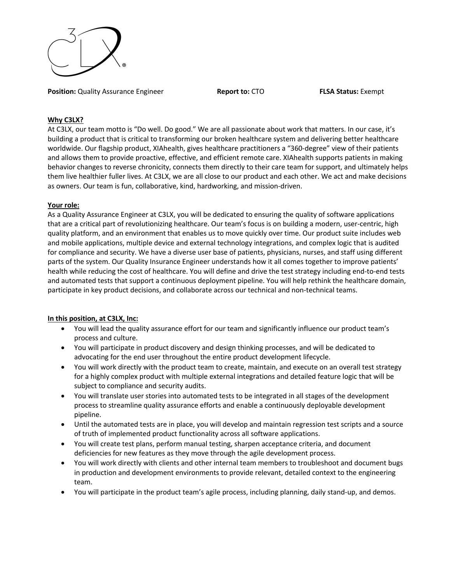

**Position:** Quality Assurance Engineer **Report to:** CTO **FLSA Status:** Exempt

## **Why C3LX?**

At C3LX, our team motto is "Do well. Do good." We are all passionate about work that matters. In our case, it's building a product that is critical to transforming our broken healthcare system and delivering better healthcare worldwide. Our flagship product, XIAhealth, gives healthcare practitioners a "360-degree" view of their patients and allows them to provide proactive, effective, and efficient remote care. XIAhealth supports patients in making behavior changes to reverse chronicity, connects them directly to their care team for support, and ultimately helps them live healthier fuller lives. At C3LX, we are all close to our product and each other. We act and make decisions as owners. Our team is fun, collaborative, kind, hardworking, and mission-driven.

## **Your role:**

As a Quality Assurance Engineer at C3LX, you will be dedicated to ensuring the quality of software applications that are a critical part of revolutionizing healthcare. Our team's focus is on building a modern, user-centric, high quality platform, and an environment that enables us to move quickly over time. Our product suite includes web and mobile applications, multiple device and external technology integrations, and complex logic that is audited for compliance and security. We have a diverse user base of patients, physicians, nurses, and staff using different parts of the system. Our Quality Insurance Engineer understands how it all comes together to improve patients' health while reducing the cost of healthcare. You will define and drive the test strategy including end-to-end tests and automated tests that support a continuous deployment pipeline. You will help rethink the healthcare domain, participate in key product decisions, and collaborate across our technical and non-technical teams.

# **In this position, at C3LX, Inc:**

- You will lead the quality assurance effort for our team and significantly influence our product team's process and culture.
- You will participate in product discovery and design thinking processes, and will be dedicated to advocating for the end user throughout the entire product development lifecycle.
- You will work directly with the product team to create, maintain, and execute on an overall test strategy for a highly complex product with multiple external integrations and detailed feature logic that will be subject to compliance and security audits.
- You will translate user stories into automated tests to be integrated in all stages of the development process to streamline quality assurance efforts and enable a continuously deployable development pipeline.
- Until the automated tests are in place, you will develop and maintain regression test scripts and a source of truth of implemented product functionality across all software applications.
- You will create test plans, perform manual testing, sharpen acceptance criteria, and document deficiencies for new features as they move through the agile development process.
- You will work directly with clients and other internal team members to troubleshoot and document bugs in production and development environments to provide relevant, detailed context to the engineering team.
- You will participate in the product team's agile process, including planning, daily stand-up, and demos.